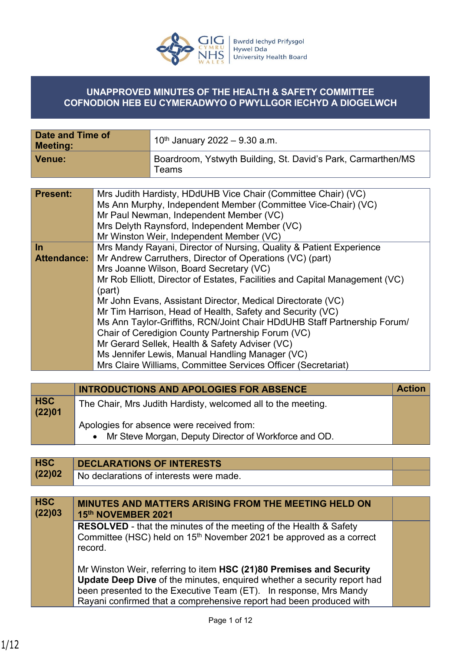

## **UNAPPROVED MINUTES OF THE HEALTH & SAFETY COMMITTEE COFNODION HEB EU CYMERADWYO O PWYLLGOR IECHYD A DIOGELWCH**

| Date and Time of<br><b>Meeting:</b> | 10 <sup>th</sup> January 2022 – 9.30 a.m.                             |
|-------------------------------------|-----------------------------------------------------------------------|
| Venue:                              | Boardroom, Ystwyth Building, St. David's Park, Carmarthen/MS<br>Teams |

| <b>Present:</b>    | Mrs Judith Hardisty, HDdUHB Vice Chair (Committee Chair) (VC)<br>Ms Ann Murphy, Independent Member (Committee Vice-Chair) (VC)<br>Mr Paul Newman, Independent Member (VC)<br>Mrs Delyth Raynsford, Independent Member (VC)<br>Mr Winston Weir, Independent Member (VC) |
|--------------------|------------------------------------------------------------------------------------------------------------------------------------------------------------------------------------------------------------------------------------------------------------------------|
| <u>In</u>          | Mrs Mandy Rayani, Director of Nursing, Quality & Patient Experience                                                                                                                                                                                                    |
| <b>Attendance:</b> | Mr Andrew Carruthers, Director of Operations (VC) (part)                                                                                                                                                                                                               |
|                    | Mrs Joanne Wilson, Board Secretary (VC)                                                                                                                                                                                                                                |
|                    | Mr Rob Elliott, Director of Estates, Facilities and Capital Management (VC)                                                                                                                                                                                            |
|                    | (part)                                                                                                                                                                                                                                                                 |
|                    | Mr John Evans, Assistant Director, Medical Directorate (VC)                                                                                                                                                                                                            |
|                    | Mr Tim Harrison, Head of Health, Safety and Security (VC)                                                                                                                                                                                                              |
|                    | Ms Ann Taylor-Griffiths, RCN/Joint Chair HDdUHB Staff Partnership Forum/                                                                                                                                                                                               |
|                    | Chair of Ceredigion County Partnership Forum (VC)                                                                                                                                                                                                                      |
|                    | Mr Gerard Sellek, Health & Safety Adviser (VC)                                                                                                                                                                                                                         |
|                    | Ms Jennifer Lewis, Manual Handling Manager (VC)                                                                                                                                                                                                                        |
|                    | Mrs Claire Williams, Committee Services Officer (Secretariat)                                                                                                                                                                                                          |

|                      | <b>INTRODUCTIONS AND APOLOGIES FOR ABSENCE</b>                                                       | <b>Action</b> |
|----------------------|------------------------------------------------------------------------------------------------------|---------------|
| <b>HSC</b><br>(22)01 | The Chair, Mrs Judith Hardisty, welcomed all to the meeting.                                         |               |
|                      | Apologies for absence were received from:<br>• Mr Steve Morgan, Deputy Director of Workforce and OD. |               |

| <b>HSC</b>           | <b>DECLARATIONS OF INTERESTS</b>                                                                                                                                                                                                                                                           |  |
|----------------------|--------------------------------------------------------------------------------------------------------------------------------------------------------------------------------------------------------------------------------------------------------------------------------------------|--|
| (22)02               | No declarations of interests were made.                                                                                                                                                                                                                                                    |  |
|                      |                                                                                                                                                                                                                                                                                            |  |
| <b>HSC</b><br>(22)03 | <b>MINUTES AND MATTERS ARISING FROM THE MEETING HELD ON</b><br>15th NOVEMBER 2021                                                                                                                                                                                                          |  |
|                      | <b>RESOLVED</b> - that the minutes of the meeting of the Health & Safety<br>Committee (HSC) held on 15 <sup>th</sup> November 2021 be approved as a correct<br>record.                                                                                                                     |  |
|                      | Mr Winston Weir, referring to item HSC (21)80 Premises and Security<br>Update Deep Dive of the minutes, enquired whether a security report had<br>been presented to the Executive Team (ET). In response, Mrs Mandy<br>Rayani confirmed that a comprehensive report had been produced with |  |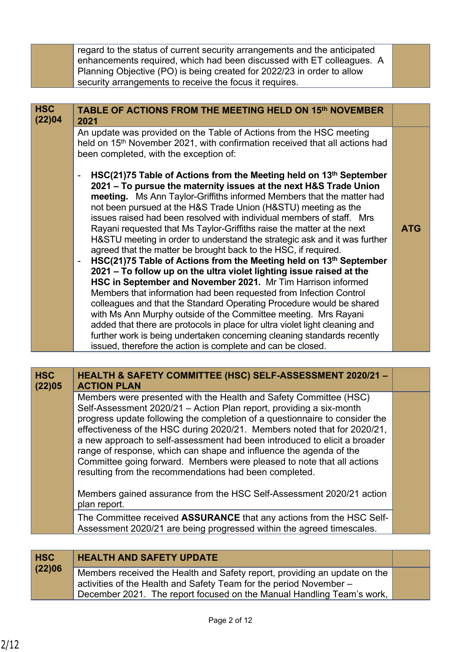|                      | regard to the status of current security arrangements and the anticipated<br>enhancements required, which had been discussed with ET colleagues. A<br>Planning Objective (PO) is being created for 2022/23 in order to allow<br>security arrangements to receive the focus it requires.                                                                                                                                                                                                                                                                                                                                                                                                                                                                                                                                                                                                                                                                                                                                                                                                                                                                                                                                          |            |
|----------------------|----------------------------------------------------------------------------------------------------------------------------------------------------------------------------------------------------------------------------------------------------------------------------------------------------------------------------------------------------------------------------------------------------------------------------------------------------------------------------------------------------------------------------------------------------------------------------------------------------------------------------------------------------------------------------------------------------------------------------------------------------------------------------------------------------------------------------------------------------------------------------------------------------------------------------------------------------------------------------------------------------------------------------------------------------------------------------------------------------------------------------------------------------------------------------------------------------------------------------------|------------|
|                      |                                                                                                                                                                                                                                                                                                                                                                                                                                                                                                                                                                                                                                                                                                                                                                                                                                                                                                                                                                                                                                                                                                                                                                                                                                  |            |
| <b>HSC</b><br>(22)04 | TABLE OF ACTIONS FROM THE MEETING HELD ON 15th NOVEMBER<br>2021                                                                                                                                                                                                                                                                                                                                                                                                                                                                                                                                                                                                                                                                                                                                                                                                                                                                                                                                                                                                                                                                                                                                                                  |            |
|                      | An update was provided on the Table of Actions from the HSC meeting<br>held on 15 <sup>th</sup> November 2021, with confirmation received that all actions had<br>been completed, with the exception of:<br>HSC(21)75 Table of Actions from the Meeting held on 13th September<br>2021 - To pursue the maternity issues at the next H&S Trade Union<br>meeting. Ms Ann Taylor-Griffiths informed Members that the matter had<br>not been pursued at the H&S Trade Union (H&STU) meeting as the<br>issues raised had been resolved with individual members of staff. Mrs<br>Rayani requested that Ms Taylor-Griffiths raise the matter at the next<br>H&STU meeting in order to understand the strategic ask and it was further<br>agreed that the matter be brought back to the HSC, if required.<br>HSC(21)75 Table of Actions from the Meeting held on 13th September<br>2021 - To follow up on the ultra violet lighting issue raised at the<br>HSC in September and November 2021. Mr Tim Harrison informed<br>Members that information had been requested from Infection Control<br>colleagues and that the Standard Operating Procedure would be shared<br>with Ms Ann Murphy outside of the Committee meeting. Mrs Rayani | <b>ATG</b> |
|                      | added that there are protocols in place for ultra violet light cleaning and<br>further work is being undertaken concerning cleaning standards recently<br>issued, therefore the action is complete and can be closed.                                                                                                                                                                                                                                                                                                                                                                                                                                                                                                                                                                                                                                                                                                                                                                                                                                                                                                                                                                                                            |            |

| <b>HSC</b><br>(22)05 | HEALTH & SAFETY COMMITTEE (HSC) SELF-ASSESSMENT 2020/21 -<br><b>ACTION PLAN</b>                                                                                                                                                                                                                                                                                                                                                                                                                                                                                                            |  |
|----------------------|--------------------------------------------------------------------------------------------------------------------------------------------------------------------------------------------------------------------------------------------------------------------------------------------------------------------------------------------------------------------------------------------------------------------------------------------------------------------------------------------------------------------------------------------------------------------------------------------|--|
|                      | Members were presented with the Health and Safety Committee (HSC)<br>Self-Assessment 2020/21 - Action Plan report, providing a six-month<br>progress update following the completion of a questionnaire to consider the<br>effectiveness of the HSC during 2020/21. Members noted that for 2020/21,<br>a new approach to self-assessment had been introduced to elicit a broader<br>range of response, which can shape and influence the agenda of the<br>Committee going forward. Members were pleased to note that all actions<br>resulting from the recommendations had been completed. |  |
|                      | Members gained assurance from the HSC Self-Assessment 2020/21 action<br>plan report.                                                                                                                                                                                                                                                                                                                                                                                                                                                                                                       |  |
|                      | The Committee received <b>ASSURANCE</b> that any actions from the HSC Self-<br>Assessment 2020/21 are being progressed within the agreed timescales.                                                                                                                                                                                                                                                                                                                                                                                                                                       |  |

| <b>HSC</b><br>(22)06 | <b>HEALTH AND SAFETY UPDATE</b>                                                                                                                                                                                                        |  |
|----------------------|----------------------------------------------------------------------------------------------------------------------------------------------------------------------------------------------------------------------------------------|--|
|                      | Members received the Health and Safety report, providing an update on the<br>$\frac{1}{2}$ activities of the Health and Safety Team for the period November –<br>December 2021. The report focused on the Manual Handling Team's work, |  |
|                      |                                                                                                                                                                                                                                        |  |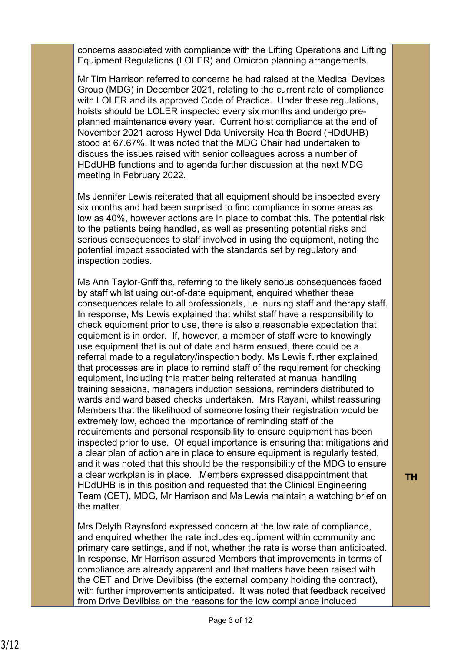concerns associated with compliance with the Lifting Operations and Lifting Equipment Regulations (LOLER) and Omicron planning arrangements.

Mr Tim Harrison referred to concerns he had raised at the Medical Devices Group (MDG) in December 2021, relating to the current rate of compliance with LOLER and its approved Code of Practice. Under these regulations, hoists should be LOLER inspected every six months and undergo preplanned maintenance every year. Current hoist compliance at the end of November 2021 across Hywel Dda University Health Board (HDdUHB) stood at 67.67%. It was noted that the MDG Chair had undertaken to discuss the issues raised with senior colleagues across a number of HDdUHB functions and to agenda further discussion at the next MDG meeting in February 2022.

Ms Jennifer Lewis reiterated that all equipment should be inspected every six months and had been surprised to find compliance in some areas as low as 40%, however actions are in place to combat this. The potential risk to the patients being handled, as well as presenting potential risks and serious consequences to staff involved in using the equipment, noting the potential impact associated with the standards set by regulatory and inspection bodies.

Ms Ann Taylor-Griffiths, referring to the likely serious consequences faced by staff whilst using out-of-date equipment, enquired whether these consequences relate to all professionals, i.e. nursing staff and therapy staff. In response, Ms Lewis explained that whilst staff have a responsibility to check equipment prior to use, there is also a reasonable expectation that equipment is in order. If, however, a member of staff were to knowingly use equipment that is out of date and harm ensued, there could be a referral made to a regulatory/inspection body. Ms Lewis further explained that processes are in place to remind staff of the requirement for checking equipment, including this matter being reiterated at manual handling training sessions, managers induction sessions, reminders distributed to wards and ward based checks undertaken. Mrs Rayani, whilst reassuring Members that the likelihood of someone losing their registration would be extremely low, echoed the importance of reminding staff of the requirements and personal responsibility to ensure equipment has been inspected prior to use. Of equal importance is ensuring that mitigations and a clear plan of action are in place to ensure equipment is regularly tested, and it was noted that this should be the responsibility of the MDG to ensure a clear workplan is in place. Members expressed disappointment that HDdUHB is in this position and requested that the Clinical Engineering Team (CET), MDG, Mr Harrison and Ms Lewis maintain a watching brief on the matter.

Mrs Delyth Raynsford expressed concern at the low rate of compliance, and enquired whether the rate includes equipment within community and primary care settings, and if not, whether the rate is worse than anticipated. In response, Mr Harrison assured Members that improvements in terms of compliance are already apparent and that matters have been raised with the CET and Drive Devilbiss (the external company holding the contract), with further improvements anticipated. It was noted that feedback received from Drive Devilbiss on the reasons for the low compliance included

**TH**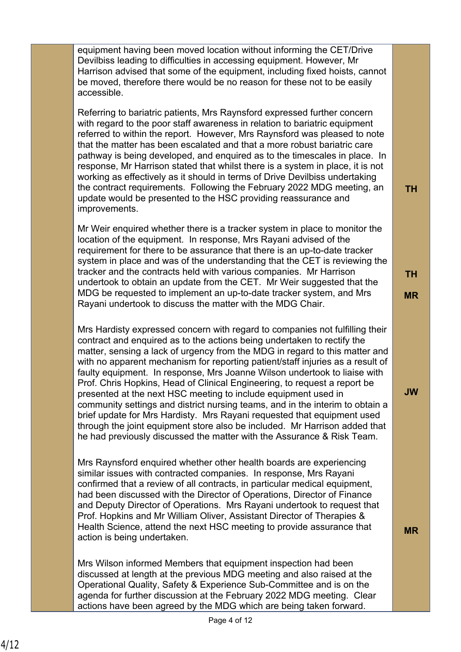equipment having been moved location without informing the CET/Drive Devilbiss leading to difficulties in accessing equipment. However, Mr Harrison advised that some of the equipment, including fixed hoists, cannot be moved, therefore there would be no reason for these not to be easily accessible.

Referring to bariatric patients, Mrs Raynsford expressed further concern with regard to the poor staff awareness in relation to bariatric equipment referred to within the report. However, Mrs Raynsford was pleased to note that the matter has been escalated and that a more robust bariatric care pathway is being developed, and enquired as to the timescales in place. In response, Mr Harrison stated that whilst there is a system in place, it is not working as effectively as it should in terms of Drive Devilbiss undertaking the contract requirements. Following the February 2022 MDG meeting, an update would be presented to the HSC providing reassurance and improvements.

Mr Weir enquired whether there is a tracker system in place to monitor the location of the equipment. In response, Mrs Rayani advised of the requirement for there to be assurance that there is an up-to-date tracker system in place and was of the understanding that the CET is reviewing the tracker and the contracts held with various companies. Mr Harrison undertook to obtain an update from the CET. Mr Weir suggested that the MDG be requested to implement an up-to-date tracker system, and Mrs Rayani undertook to discuss the matter with the MDG Chair.

Mrs Hardisty expressed concern with regard to companies not fulfilling their contract and enquired as to the actions being undertaken to rectify the matter, sensing a lack of urgency from the MDG in regard to this matter and with no apparent mechanism for reporting patient/staff injuries as a result of faulty equipment. In response, Mrs Joanne Wilson undertook to liaise with Prof. Chris Hopkins, Head of Clinical Engineering, to request a report be presented at the next HSC meeting to include equipment used in community settings and district nursing teams, and in the interim to obtain a brief update for Mrs Hardisty. Mrs Rayani requested that equipment used through the joint equipment store also be included. Mr Harrison added that he had previously discussed the matter with the Assurance & Risk Team.

Mrs Raynsford enquired whether other health boards are experiencing similar issues with contracted companies. In response, Mrs Rayani confirmed that a review of all contracts, in particular medical equipment, had been discussed with the Director of Operations, Director of Finance and Deputy Director of Operations. Mrs Rayani undertook to request that Prof. Hopkins and Mr William Oliver, Assistant Director of Therapies & Health Science, attend the next HSC meeting to provide assurance that action is being undertaken.

Mrs Wilson informed Members that equipment inspection had been discussed at length at the previous MDG meeting and also raised at the Operational Quality, Safety & Experience Sub-Committee and is on the agenda for further discussion at the February 2022 MDG meeting. Clear actions have been agreed by the MDG which are being taken forward.

**TH**

**TH**

**JW**

**MR**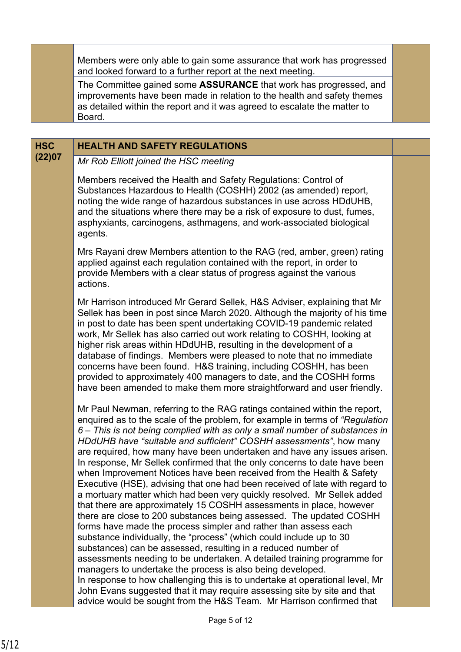Members were only able to gain some assurance that work has progressed and looked forward to a further report at the next meeting.

The Committee gained some **ASSURANCE** that work has progressed, and improvements have been made in relation to the health and safety themes as detailed within the report and it was agreed to escalate the matter to **Board** 

# **HSC HEALTH AND SAFETY REGULATIONS**

**(22)07** *Mr Rob Elliott joined the HSC meeting*

Members received the Health and Safety Regulations: Control of Substances Hazardous to Health (COSHH) 2002 (as amended) report, noting the wide range of hazardous substances in use across HDdUHB, and the situations where there may be a risk of exposure to dust, fumes, asphyxiants, carcinogens, asthmagens, and work-associated biological agents.

Mrs Rayani drew Members attention to the RAG (red, amber, green) rating applied against each regulation contained with the report, in order to provide Members with a clear status of progress against the various actions.

Mr Harrison introduced Mr Gerard Sellek, H&S Adviser, explaining that Mr Sellek has been in post since March 2020. Although the majority of his time in post to date has been spent undertaking COVID-19 pandemic related work, Mr Sellek has also carried out work relating to COSHH, looking at higher risk areas within HDdUHB, resulting in the development of a database of findings. Members were pleased to note that no immediate concerns have been found. H&S training, including COSHH, has been provided to approximately 400 managers to date, and the COSHH forms have been amended to make them more straightforward and user friendly.

Mr Paul Newman, referring to the RAG ratings contained within the report, enquired as to the scale of the problem, for example in terms of *"Regulation 6 – This is not being complied with as only a small number of substances in HDdUHB have "suitable and sufficient" COSHH assessments"*, how many are required, how many have been undertaken and have any issues arisen. In response, Mr Sellek confirmed that the only concerns to date have been when Improvement Notices have been received from the Health & Safety Executive (HSE), advising that one had been received of late with regard to a mortuary matter which had been very quickly resolved. Mr Sellek added that there are approximately 15 COSHH assessments in place, however there are close to 200 substances being assessed. The updated COSHH forms have made the process simpler and rather than assess each substance individually, the "process" (which could include up to 30 substances) can be assessed, resulting in a reduced number of assessments needing to be undertaken. A detailed training programme for managers to undertake the process is also being developed. In response to how challenging this is to undertake at operational level, Mr John Evans suggested that it may require assessing site by site and that advice would be sought from the H&S Team. Mr Harrison confirmed that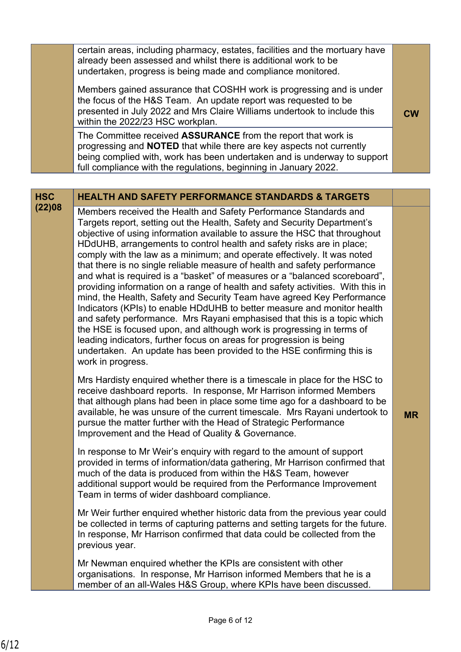| certain areas, including pharmacy, estates, facilities and the mortuary have<br>already been assessed and whilst there is additional work to be<br>undertaken, progress is being made and compliance monitored.<br>Members gained assurance that COSHH work is progressing and is under<br>the focus of the H&S Team. An update report was requested to be<br>presented in July 2022 and Mrs Claire Williams undertook to include this<br>within the 2022/23 HSC workplan. | <b>CW</b> |
|----------------------------------------------------------------------------------------------------------------------------------------------------------------------------------------------------------------------------------------------------------------------------------------------------------------------------------------------------------------------------------------------------------------------------------------------------------------------------|-----------|
| The Committee received ASSURANCE from the report that work is<br>progressing and <b>NOTED</b> that while there are key aspects not currently<br>being complied with, work has been undertaken and is underway to support<br>full compliance with the regulations, beginning in January 2022.                                                                                                                                                                               |           |

### **HSC HEALTH AND SAFETY PERFORMANCE STANDARDS & TARGETS**

**(22)08** Members received the Health and Safety Performance Standards and Targets report, setting out the Health, Safety and Security Department's objective of using information available to assure the HSC that throughout HDdUHB, arrangements to control health and safety risks are in place; comply with the law as a minimum; and operate effectively. It was noted that there is no single reliable measure of health and safety performance and what is required is a "basket" of measures or a "balanced scoreboard", providing information on a range of health and safety activities. With this in mind, the Health, Safety and Security Team have agreed Key Performance Indicators (KPIs) to enable HDdUHB to better measure and monitor health and safety performance. Mrs Rayani emphasised that this is a topic which the HSE is focused upon, and although work is progressing in terms of leading indicators, further focus on areas for progression is being undertaken. An update has been provided to the HSE confirming this is work in progress.

> Mrs Hardisty enquired whether there is a timescale in place for the HSC to receive dashboard reports. In response, Mr Harrison informed Members that although plans had been in place some time ago for a dashboard to be available, he was unsure of the current timescale. Mrs Rayani undertook to pursue the matter further with the Head of Strategic Performance Improvement and the Head of Quality & Governance.

> In response to Mr Weir's enquiry with regard to the amount of support provided in terms of information/data gathering, Mr Harrison confirmed that much of the data is produced from within the H&S Team, however additional support would be required from the Performance Improvement Team in terms of wider dashboard compliance.

Mr Weir further enquired whether historic data from the previous year could be collected in terms of capturing patterns and setting targets for the future. In response, Mr Harrison confirmed that data could be collected from the previous year.

Mr Newman enquired whether the KPIs are consistent with other organisations. In response, Mr Harrison informed Members that he is a member of an all-Wales H&S Group, where KPIs have been discussed.

**MR**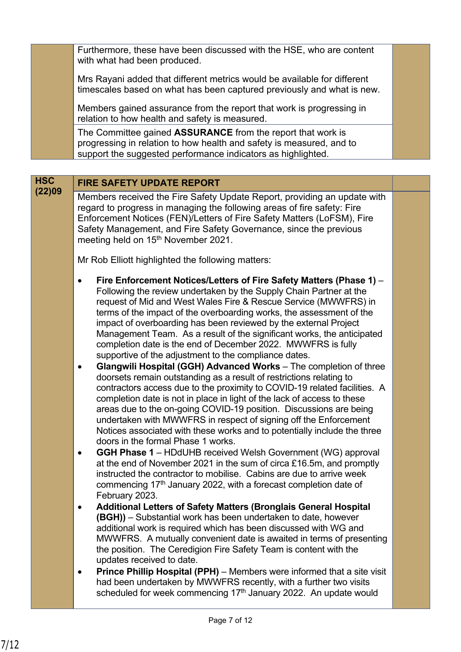Furthermore, these have been discussed with the HSE, who are content with what had been produced.

Mrs Rayani added that different metrics would be available for different timescales based on what has been captured previously and what is new.

Members gained assurance from the report that work is progressing in relation to how health and safety is measured.

The Committee gained **ASSURANCE** from the report that work is progressing in relation to how health and safety is measured, and to support the suggested performance indicators as highlighted.

# **HSC FIRE SAFETY UPDATE REPORT**

**(22)09** Members received the Fire Safety Update Report, providing an update with regard to progress in managing the following areas of fire safety: Fire Enforcement Notices (FEN)/Letters of Fire Safety Matters (LoFSM), Fire Safety Management, and Fire Safety Governance, since the previous meeting held on 15<sup>th</sup> November 2021.

Mr Rob Elliott highlighted the following matters:

- **Fire Enforcement Notices/Letters of Fire Safety Matters (Phase 1)** Following the review undertaken by the Supply Chain Partner at the request of Mid and West Wales Fire & Rescue Service (MWWFRS) in terms of the impact of the overboarding works, the assessment of the impact of overboarding has been reviewed by the external Project Management Team. As a result of the significant works, the anticipated completion date is the end of December 2022. MWWFRS is fully supportive of the adjustment to the compliance dates.
- **Glangwili Hospital (GGH) Advanced Works** The completion of three doorsets remain outstanding as a result of restrictions relating to contractors access due to the proximity to COVID-19 related facilities. A completion date is not in place in light of the lack of access to these areas due to the on-going COVID-19 position. Discussions are being undertaken with MWWFRS in respect of signing off the Enforcement Notices associated with these works and to potentially include the three doors in the formal Phase 1 works.
- **GGH Phase 1** HDdUHB received Welsh Government (WG) approval at the end of November 2021 in the sum of circa £16.5m, and promptly instructed the contractor to mobilise. Cabins are due to arrive week commencing  $17<sup>th</sup>$  January 2022, with a forecast completion date of February 2023.
- **Additional Letters of Safety Matters (Bronglais General Hospital (BGH))** – Substantial work has been undertaken to date, however additional work is required which has been discussed with WG and MWWFRS. A mutually convenient date is awaited in terms of presenting the position. The Ceredigion Fire Safety Team is content with the updates received to date.
- **Prince Phillip Hospital (PPH)** Members were informed that a site visit had been undertaken by MWWFRS recently, with a further two visits scheduled for week commencing  $17<sup>th</sup>$  January 2022. An update would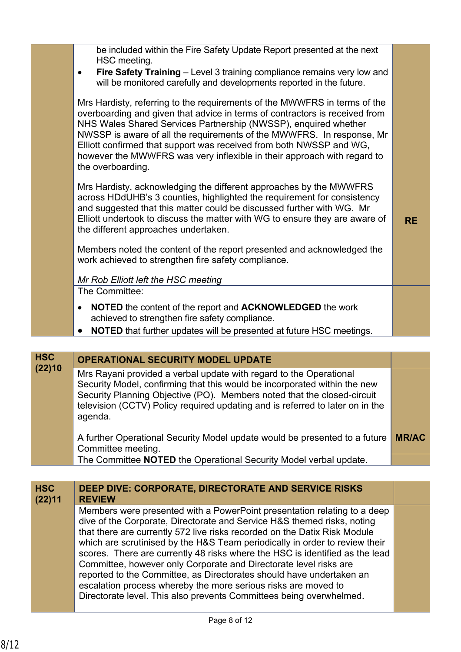| be included within the Fire Safety Update Report presented at the next<br>HSC meeting.<br>Fire Safety Training - Level 3 training compliance remains very low and<br>$\bullet$<br>will be monitored carefully and developments reported in the future.<br>Mrs Hardisty, referring to the requirements of the MWWFRS in terms of the<br>overboarding and given that advice in terms of contractors is received from<br>NHS Wales Shared Services Partnership (NWSSP), enquired whether<br>NWSSP is aware of all the requirements of the MWWFRS. In response, Mr<br>Elliott confirmed that support was received from both NWSSP and WG,<br>however the MWWFRS was very inflexible in their approach with regard to<br>the overboarding.<br>Mrs Hardisty, acknowledging the different approaches by the MWWFRS<br>across HDdUHB's 3 counties, highlighted the requirement for consistency<br>and suggested that this matter could be discussed further with WG. Mr<br>Elliott undertook to discuss the matter with WG to ensure they are aware of<br><b>RE</b><br>the different approaches undertaken.<br>Members noted the content of the report presented and acknowledged the<br>work achieved to strengthen fire safety compliance.<br>Mr Rob Elliott left the HSC meeting<br>The Committee:<br>NOTED the content of the report and ACKNOWLEDGED the work<br>$\bullet$<br>achieved to strengthen fire safety compliance.<br><b>NOTED</b> that further updates will be presented at future HSC meetings. |  |  |
|----------------------------------------------------------------------------------------------------------------------------------------------------------------------------------------------------------------------------------------------------------------------------------------------------------------------------------------------------------------------------------------------------------------------------------------------------------------------------------------------------------------------------------------------------------------------------------------------------------------------------------------------------------------------------------------------------------------------------------------------------------------------------------------------------------------------------------------------------------------------------------------------------------------------------------------------------------------------------------------------------------------------------------------------------------------------------------------------------------------------------------------------------------------------------------------------------------------------------------------------------------------------------------------------------------------------------------------------------------------------------------------------------------------------------------------------------------------------------------------------------------|--|--|
|                                                                                                                                                                                                                                                                                                                                                                                                                                                                                                                                                                                                                                                                                                                                                                                                                                                                                                                                                                                                                                                                                                                                                                                                                                                                                                                                                                                                                                                                                                          |  |  |
|                                                                                                                                                                                                                                                                                                                                                                                                                                                                                                                                                                                                                                                                                                                                                                                                                                                                                                                                                                                                                                                                                                                                                                                                                                                                                                                                                                                                                                                                                                          |  |  |
|                                                                                                                                                                                                                                                                                                                                                                                                                                                                                                                                                                                                                                                                                                                                                                                                                                                                                                                                                                                                                                                                                                                                                                                                                                                                                                                                                                                                                                                                                                          |  |  |
|                                                                                                                                                                                                                                                                                                                                                                                                                                                                                                                                                                                                                                                                                                                                                                                                                                                                                                                                                                                                                                                                                                                                                                                                                                                                                                                                                                                                                                                                                                          |  |  |
|                                                                                                                                                                                                                                                                                                                                                                                                                                                                                                                                                                                                                                                                                                                                                                                                                                                                                                                                                                                                                                                                                                                                                                                                                                                                                                                                                                                                                                                                                                          |  |  |
|                                                                                                                                                                                                                                                                                                                                                                                                                                                                                                                                                                                                                                                                                                                                                                                                                                                                                                                                                                                                                                                                                                                                                                                                                                                                                                                                                                                                                                                                                                          |  |  |
|                                                                                                                                                                                                                                                                                                                                                                                                                                                                                                                                                                                                                                                                                                                                                                                                                                                                                                                                                                                                                                                                                                                                                                                                                                                                                                                                                                                                                                                                                                          |  |  |
|                                                                                                                                                                                                                                                                                                                                                                                                                                                                                                                                                                                                                                                                                                                                                                                                                                                                                                                                                                                                                                                                                                                                                                                                                                                                                                                                                                                                                                                                                                          |  |  |

| <b>HSC</b> | <b>OPERATIONAL SECURITY MODEL UPDATE</b>                                                                                                        |              |
|------------|-------------------------------------------------------------------------------------------------------------------------------------------------|--------------|
| (22)10     | Mrs Rayani provided a verbal update with regard to the Operational<br>Security Model, confirming that this would be incorporated within the new |              |
|            | Security Planning Objective (PO). Members noted that the closed-circuit                                                                         |              |
|            | television (CCTV) Policy required updating and is referred to later on in the<br>agenda.                                                        |              |
|            | A further Operational Security Model update would be presented to a future<br>Committee meeting.                                                | <b>MR/AC</b> |
|            | The Committee NOTED the Operational Security Model verbal update.                                                                               |              |

| <b>HSC</b><br>(22)11 | DEEP DIVE: CORPORATE, DIRECTORATE AND SERVICE RISKS<br><b>REVIEW</b>                                                                                                                                                                                                                                                                                                                                                                              |  |
|----------------------|---------------------------------------------------------------------------------------------------------------------------------------------------------------------------------------------------------------------------------------------------------------------------------------------------------------------------------------------------------------------------------------------------------------------------------------------------|--|
|                      | Members were presented with a PowerPoint presentation relating to a deep<br>dive of the Corporate, Directorate and Service H&S themed risks, noting<br>that there are currently 572 live risks recorded on the Datix Risk Module                                                                                                                                                                                                                  |  |
|                      | which are scrutinised by the H&S Team periodically in order to review their<br>scores. There are currently 48 risks where the HSC is identified as the lead<br>Committee, however only Corporate and Directorate level risks are<br>reported to the Committee, as Directorates should have undertaken an<br>escalation process whereby the more serious risks are moved to<br>Directorate level. This also prevents Committees being overwhelmed. |  |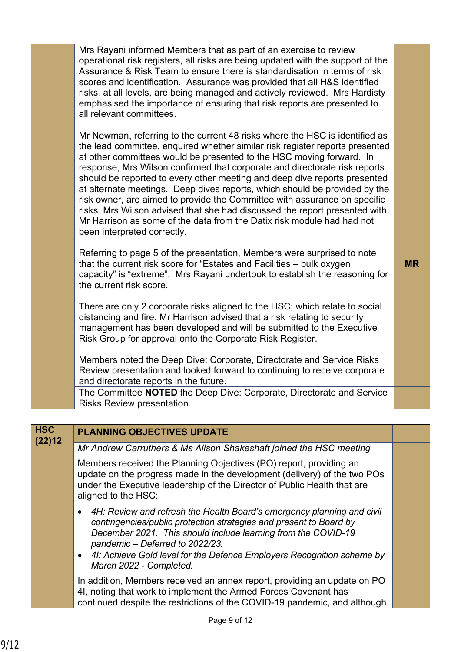| Mrs Rayani informed Members that as part of an exercise to review               |
|---------------------------------------------------------------------------------|
| operational risk registers, all risks are being updated with the support of the |
| Assurance & Risk Team to ensure there is standardisation in terms of risk       |
| scores and identification. Assurance was provided that all H&S identified       |
| risks, at all levels, are being managed and actively reviewed. Mrs Hardisty     |
| emphasised the importance of ensuring that risk reports are presented to        |
| all relevant committees.                                                        |

Mr Newman, referring to the current 48 risks where the HSC is identified as the lead committee, enquired whether similar risk register reports presented at other committees would be presented to the HSC moving forward. In response, Mrs Wilson confirmed that corporate and directorate risk reports should be reported to every other meeting and deep dive reports presented at alternate meetings. Deep dives reports, which should be provided by the risk owner, are aimed to provide the Committee with assurance on specific risks. Mrs Wilson advised that she had discussed the report presented with Mr Harrison as some of the data from the Datix risk module had had not been interpreted correctly.

Referring to page 5 of the presentation, Members were surprised to note that the current risk score for "Estates and Facilities – bulk oxygen capacity" is "extreme". Mrs Rayani undertook to establish the reasoning for the current risk score.

There are only 2 corporate risks aligned to the HSC; which relate to social distancing and fire. Mr Harrison advised that a risk relating to security management has been developed and will be submitted to the Executive Risk Group for approval onto the Corporate Risk Register.

Members noted the Deep Dive: Corporate, Directorate and Service Risks Review presentation and looked forward to continuing to receive corporate and directorate reports in the future.

The Committee **NOTED** the Deep Dive: Corporate, Directorate and Service Risks Review presentation.

### **HSC PLANNING OBJECTIVES UPDATE (22)12**

*Mr Andrew Carruthers & Ms Alison Shakeshaft joined the HSC meeting*

Members received the Planning Objectives (PO) report, providing an update on the progress made in the development (delivery) of the two POs under the Executive leadership of the Director of Public Health that are aligned to the HSC:

- *4H: Review and refresh the Health Board's emergency planning and civil contingencies/public protection strategies and present to Board by December 2021. This should include learning from the COVID-19 pandemic – Deferred to 2022/23.*
- *4I: Achieve Gold level for the Defence Employers Recognition scheme by March 2022 - Completed.*

In addition, Members received an annex report, providing an update on PO 4I, noting that work to implement the Armed Forces Covenant has continued despite the restrictions of the COVID-19 pandemic, and although **MR**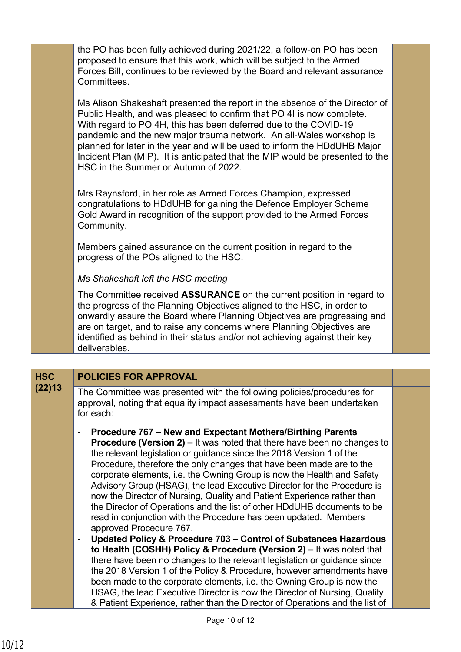the PO has been fully achieved during 2021/22, a follow-on PO has been proposed to ensure that this work, which will be subject to the Armed Forces Bill, continues to be reviewed by the Board and relevant assurance Committees.

Ms Alison Shakeshaft presented the report in the absence of the Director of Public Health, and was pleased to confirm that PO 4I is now complete. With regard to PO 4H, this has been deferred due to the COVID-19 pandemic and the new major trauma network. An all-Wales workshop is planned for later in the year and will be used to inform the HDdUHB Major Incident Plan (MIP). It is anticipated that the MIP would be presented to the HSC in the Summer or Autumn of 2022.

Mrs Raynsford, in her role as Armed Forces Champion, expressed congratulations to HDdUHB for gaining the Defence Employer Scheme Gold Award in recognition of the support provided to the Armed Forces Community.

Members gained assurance on the current position in regard to the progress of the POs aligned to the HSC.

*Ms Shakeshaft left the HSC meeting*

The Committee received **ASSURANCE** on the current position in regard to the progress of the Planning Objectives aligned to the HSC, in order to onwardly assure the Board where Planning Objectives are progressing and are on target, and to raise any concerns where Planning Objectives are identified as behind in their status and/or not achieving against their key deliverables.

# **HSC POLICIES FOR APPROVAL**

- **(22)13** The Committee was presented with the following policies/procedures for approval, noting that equality impact assessments have been undertaken for each:
	- **Procedure 767 New and Expectant Mothers/Birthing Parents Procedure (Version 2)** – It was noted that there have been no changes to the relevant legislation or guidance since the 2018 Version 1 of the Procedure, therefore the only changes that have been made are to the corporate elements, i.e. the Owning Group is now the Health and Safety Advisory Group (HSAG), the lead Executive Director for the Procedure is now the Director of Nursing, Quality and Patient Experience rather than the Director of Operations and the list of other HDdUHB documents to be read in conjunction with the Procedure has been updated. Members approved Procedure 767.
	- **Updated Policy & Procedure 703 Control of Substances Hazardous to Health (COSHH) Policy & Procedure (Version 2)** – It was noted that there have been no changes to the relevant legislation or guidance since the 2018 Version 1 of the Policy & Procedure, however amendments have been made to the corporate elements, i.e. the Owning Group is now the HSAG, the lead Executive Director is now the Director of Nursing, Quality & Patient Experience, rather than the Director of Operations and the list of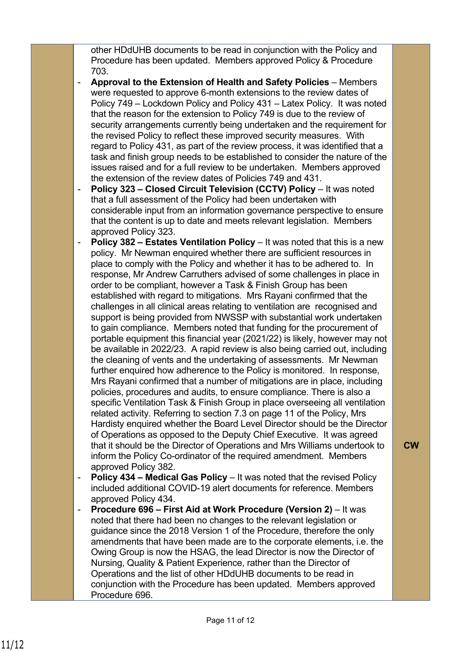other HDdUHB documents to be read in conjunction with the Policy and Procedure has been updated. Members approved Policy & Procedure 703.

- **Approval to the Extension of Health and Safety Policies** Members were requested to approve 6-month extensions to the review dates of Policy 749 – Lockdown Policy and Policy 431 – Latex Policy. It was noted that the reason for the extension to Policy 749 is due to the review of security arrangements currently being undertaken and the requirement for the revised Policy to reflect these improved security measures. With regard to Policy 431, as part of the review process, it was identified that a task and finish group needs to be established to consider the nature of the issues raised and for a full review to be undertaken. Members approved the extension of the review dates of Policies 749 and 431.
- **Policy 323 Closed Circuit Television (CCTV) Policy** It was noted that a full assessment of the Policy had been undertaken with considerable input from an information governance perspective to ensure that the content is up to date and meets relevant legislation. Members approved Policy 323.
- **Policy 382 Estates Ventilation Policy** It was noted that this is a new policy. Mr Newman enquired whether there are sufficient resources in place to comply with the Policy and whether it has to be adhered to. In response, Mr Andrew Carruthers advised of some challenges in place in order to be compliant, however a Task & Finish Group has been established with regard to mitigations. Mrs Rayani confirmed that the challenges in all clinical areas relating to ventilation are recognised and support is being provided from NWSSP with substantial work undertaken to gain compliance. Members noted that funding for the procurement of portable equipment this financial year (2021/22) is likely, however may not be available in 2022/23. A rapid review is also being carried out, including the cleaning of vents and the undertaking of assessments. Mr Newman further enquired how adherence to the Policy is monitored. In response, Mrs Rayani confirmed that a number of mitigations are in place, including policies, procedures and audits, to ensure compliance. There is also a specific Ventilation Task & Finish Group in place overseeing all ventilation related activity. Referring to section 7.3 on page 11 of the Policy, Mrs Hardisty enquired whether the Board Level Director should be the Director of Operations as opposed to the Deputy Chief Executive. It was agreed that it should be the Director of Operations and Mrs Williams undertook to inform the Policy Co-ordinator of the required amendment. Members approved Policy 382.
- **Policy 434 Medical Gas Policy** It was noted that the revised Policy included additional COVID-19 alert documents for reference. Members approved Policy 434.
- **Procedure 696 First Aid at Work Procedure (Version 2)** It was noted that there had been no changes to the relevant legislation or guidance since the 2018 Version 1 of the Procedure, therefore the only amendments that have been made are to the corporate elements, i.e. the Owing Group is now the HSAG, the lead Director is now the Director of Nursing, Quality & Patient Experience, rather than the Director of Operations and the list of other HDdUHB documents to be read in conjunction with the Procedure has been updated. Members approved Procedure 696.

**CW**